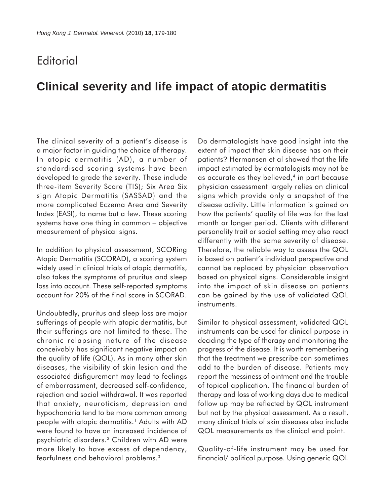## **Editorial**

## **Clinical severity and life impact of atopic dermatitis**

The clinical severity of a patient's disease is a major factor in guiding the choice of therapy. In atopic dermatitis (AD), a number of standardised scoring systems have been developed to grade the severity. These include three-item Severity Score (TIS); Six Area Six sign Atopic Dermatitis (SASSAD) and the more complicated Eczema Area and Severity Index (EASI), to name but a few. These scoring systems have one thing in common – objective measurement of physical signs.

In addition to physical assessment, SCORing Atopic Dermatitis (SCORAD), a scoring system widely used in clinical trials of atopic dermatitis, also takes the symptoms of pruritus and sleep loss into account. These self-reported symptoms account for 20% of the final score in SCORAD.

Undoubtedly, pruritus and sleep loss are major sufferings of people with atopic dermatitis, but their sufferings are not limited to these. The chronic relapsing nature of the disease conceivably has significant negative impact on the quality of life (QOL). As in many other skin diseases, the visibility of skin lesion and the associated disfigurement may lead to feelings of embarrassment, decreased self-confidence, rejection and social withdrawal. It was reported that anxiety, neuroticism, depression and hypochondria tend to be more common among people with atopic dermatitis.<sup>1</sup> Adults with AD were found to have an increased incidence of psychiatric disorders.2 Children with AD were more likely to have excess of dependency, fearfulness and behavioral problems.3

Do dermatologists have good insight into the extent of impact that skin disease has on their patients? Hermansen et al showed that the life impact estimated by dermatologists may not be as accurate as they believed, $4$  in part because physician assessment largely relies on clinical signs which provide only a snapshot of the disease activity. Little information is gained on how the patients' quality of life was for the last month or longer period. Clients with different personality trait or social setting may also react differently with the same severity of disease. Therefore, the reliable way to assess the QOL is based on patient's individual perspective and cannot be replaced by physician observation based on physical signs. Considerable insight into the impact of skin disease on patients can be gained by the use of validated QOL instruments.

Similar to physical assessment, validated QOL instruments can be used for clinical purpose in deciding the type of therapy and monitoring the progress of the disease. It is worth remembering that the treatment we prescribe can sometimes add to the burden of disease. Patients may report the messiness of ointment and the trouble of topical application. The financial burden of therapy and loss of working days due to medical follow up may be reflected by QOL instrument but not by the physical assessment. As a result, many clinical trials of skin diseases also include QOL measurements as the clinical end point.

Quality-of-life instrument may be used for financial/ political purpose. Using generic QOL